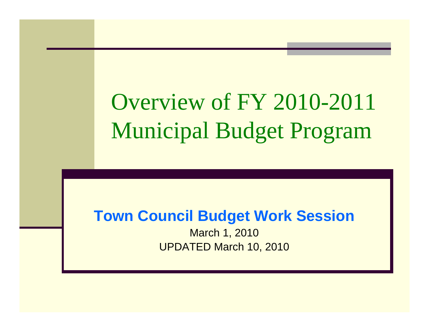Overview of FY 2010-2011 Municipal Budget Program

### **Town Council Budget Work Session**

March 1, 2010 UPDATED March 10, 2010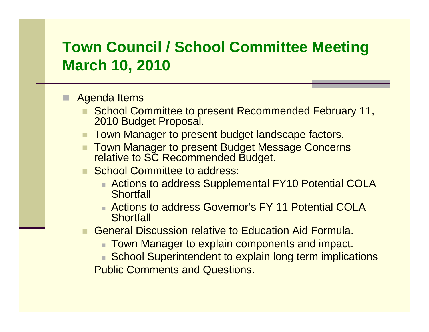### **Town Council / School Committee Meeting March 10, 2010**

### Agenda Items

- School Committee to present Recommended February 11, 2010 Budget Proposal.
- Town Manager to present budget landscape factors.
- Town Manager to present Budget Message Concerns relative to SC Recommended Budget.
- School Committee to address:
	- Actions to address Supplemental FY10 Potential COLA **Shortfall**
	- Actions to address Governor's FY 11 Potential COLA **Shortfall**
- General Discussion relative to Education Aid Formula.
	- Town Manager to explain components and impact.
	- School Superintendent to explain long term implications Public Comments and Questions.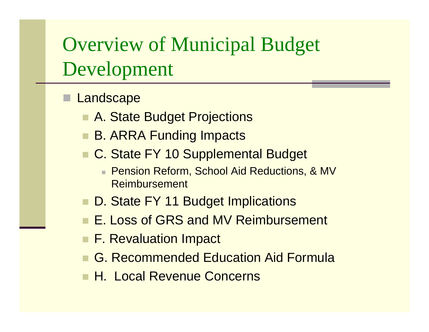## Overview of Municipal Budget Development

### Landscape

- **A. State Budget Projections**
- B. ARRA Funding Impacts
- C. State FY 10 Supplemental Budget
	- Pension Reform, School Aid Reductions, & MV Reimbursement
- D. State FY 11 Budget Implications
- E. Loss of GRS and MV Reimbursement
- F. Revaluation Impact
- G. Recommended Education Aid Formula
- **H. Local Revenue Concerns**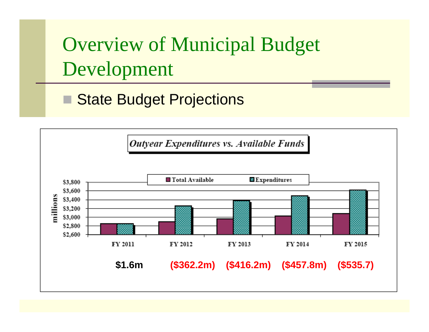Overview of Municipal Budget Development

### ■ State Budget Projections

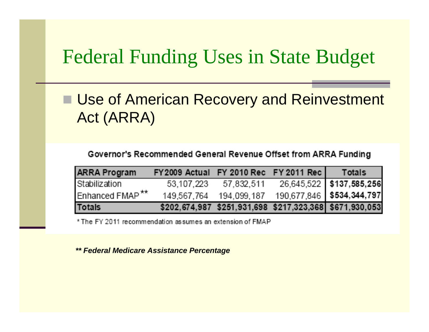### Federal Funding Uses in State Budget

■ Use of American Recovery and Reinvestment Act (ARRA)

Governor's Recommended General Revenue Offset from ARRA Funding

| ARRA Program    | FY 2009 Actual FY 2010 Rec FY 2011 Rec |             | Totals                                                  |
|-----------------|----------------------------------------|-------------|---------------------------------------------------------|
| lStabilization  | 53,107,223                             | 57,832,511  | 26,645,522   \$137,585,256                              |
| Enhanced FMAP** | 149,567,764                            | 194,099,187 | 190,677,846   \$534,344,797                             |
| <b>Totals</b>   |                                        |             | \$202,674,987 \$251,931,698 \$217,323,368 \$671,930,053 |

\* The FY 2011 recommendation assumes an extension of FMAP

*\*\* Federal Medicare Assistance Percentage*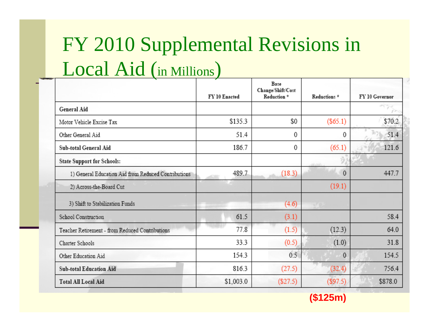## FY 2010 Supplemental Revisions in Local Aid (in Millions)

|                                                     | FY 10 Enacted | Base<br>Change/Shift/Cost<br>Reduction * | Reductions * | FY 10 Governor |
|-----------------------------------------------------|---------------|------------------------------------------|--------------|----------------|
| General Aid                                         |               |                                          |              | 17             |
| Motor Vehicle Excise Tax                            | \$135.3       | \$0                                      | $(\$65.1)$   | \$70.2         |
| Other General Aid                                   | 51.4          | 0                                        | 0            | 51.4           |
| Sub-total General Aid                               | 186.7         | 0                                        | (65.1)       | 121.6          |
| <b>State Support for Schools:</b>                   |               |                                          |              |                |
| 1) General Education Aid from Reduced Contributions | 489.7         | (18.3)                                   | $\mathbf{0}$ | 447.7          |
| 2) Across-the-Board Cut                             |               |                                          | (19.1)       |                |
| 3) Shift to Stabilization Funds                     |               | (4.6)                                    |              |                |
| School Construction                                 | 61.5          | (3.1)                                    |              | 58.4           |
| Teacher Retirement - from Reduced Contributions     | 77.8          | (1.5)                                    | (12.3)       | 64.0           |
| Charter Schools                                     | 33.3          | (0.5)                                    | (1.0)        | 31.8           |
| Other Education Aid                                 | 154.3         | 0.5                                      | $\mathbf{0}$ | 154.5          |
| <b>Sub-total Education Aid</b>                      | 816.3         | (27.5)                                   | (32.4)       | 756.4          |
| <b>Total All Local Aid</b>                          | \$1,003.0     | $\$27.5)$                                | $(\$97.5)$   | \$878.0        |

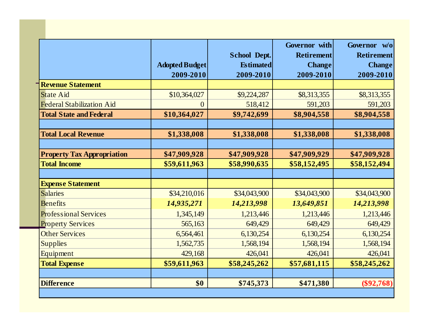|                                   | <b>Adopted Budget</b><br>2009-2010 | <b>School Dept.</b><br><b>Estimated</b><br>2009-2010 | Governor with<br><b>Retirement</b><br><b>Change</b><br>2009-2010 | Governor<br>$W$ <sub>0</sub><br><b>Retirement</b><br><b>Change</b><br>2009-2010 |
|-----------------------------------|------------------------------------|------------------------------------------------------|------------------------------------------------------------------|---------------------------------------------------------------------------------|
| <b>Revenue Statement</b>          |                                    |                                                      |                                                                  |                                                                                 |
| <b>State Aid</b>                  | \$10,364,027                       | \$9,224,287                                          | \$8,313,355                                                      | \$8,313,355                                                                     |
| <b>Federal Stabilization Aid</b>  | $\overline{0}$                     | 518,412                                              | 591,203                                                          | 591,203                                                                         |
| <b>Total State and Federal</b>    | \$10,364,027                       | \$9,742,699                                          | \$8,904,558                                                      | \$8,904,558                                                                     |
|                                   |                                    |                                                      |                                                                  |                                                                                 |
| <b>Total Local Revenue</b>        | \$1,338,008                        | \$1,338,008                                          | \$1,338,008                                                      | \$1,338,008                                                                     |
|                                   |                                    |                                                      |                                                                  |                                                                                 |
| <b>Property Tax Appropriation</b> | \$47,909,928                       | \$47,909,928                                         | \$47,909,929                                                     | \$47,909,928                                                                    |
| <b>Total Income</b>               | \$59,611,963                       | \$58,990,635                                         | \$58,152,495                                                     | \$58,152,494                                                                    |
|                                   |                                    |                                                      |                                                                  |                                                                                 |
| <b>Expense Statement</b>          |                                    |                                                      |                                                                  |                                                                                 |
| <b>Salaries</b>                   | \$34,210,016                       | \$34,043,900                                         | \$34,043,900                                                     | \$34,043,900                                                                    |
| <b>Benefits</b>                   | 14,935,271                         | 14,213,998                                           | 13,649,851                                                       | 14,213,998                                                                      |
| <b>Professional Services</b>      | 1,345,149                          | 1,213,446                                            | 1,213,446                                                        | 1,213,446                                                                       |
| <b>Property Services</b>          | 565,163                            | 649,429                                              | 649,429                                                          | 649,429                                                                         |
| <b>Other Services</b>             | 6,564,461                          | 6,130,254                                            | 6,130,254                                                        | 6,130,254                                                                       |
| <b>Supplies</b>                   | 1,562,735                          | 1,568,194                                            | 1,568,194                                                        | 1,568,194                                                                       |
| Equipment                         | 429,168                            | 426,041                                              | 426,041                                                          | 426,041                                                                         |
| <b>Total Expense</b>              | \$59,611,963                       | \$58,245,262                                         | \$57,681,115                                                     | \$58,245,262                                                                    |
|                                   |                                    |                                                      |                                                                  |                                                                                 |
| <b>Difference</b>                 | \$0                                | \$745,373                                            | \$471,380                                                        | $(\$92,768)$                                                                    |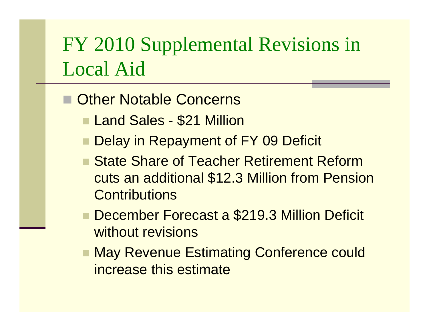## FY 2010 Supplemental Revisions in Local Aid

#### F Other Notable Concerns

- Land Sales \$21 Million
- Delay in Repayment of FY 09 Deficit
- State Share of Teacher Retirement Reform cuts an additional \$12.3 Million from Pension **Contributions**
- December Forecast a \$219.3 Million Deficit without revisions
- May Revenue Estimating Conference could increase this estimate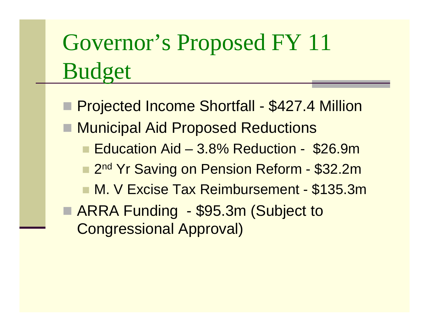# Governor's Proposed FY 11 Budget

■ Projected Income Shortfall - \$427.4 Million þ. Municipal Aid Proposed Reductions ■ Education Aid – 3.8% Reduction - \$26.9m ■ 2<sup>nd</sup> Yr Saving on Pension Reform - \$32.2m ■ M. V Excise Tax Reimbursement - \$135.3m ARRA Funding - \$95.3m (Subject to Congressional Approval)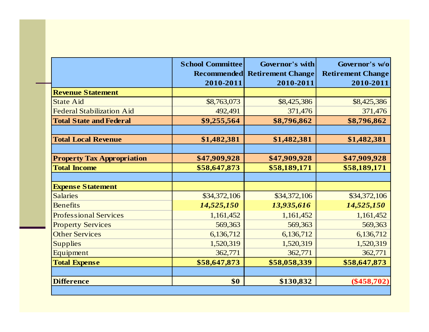|                                   | <b>School Committee</b><br><b>Recommended</b><br>2010-2011 | <b>Governor's with</b><br><b>Retirement Change</b><br>2010-2011 | Governor's w/o<br><b>Retirement Change</b><br>2010-2011 |
|-----------------------------------|------------------------------------------------------------|-----------------------------------------------------------------|---------------------------------------------------------|
| <b>Revenue Statement</b>          |                                                            |                                                                 |                                                         |
| <b>State Aid</b>                  | \$8,763,073                                                | \$8,425,386                                                     | \$8,425,386                                             |
| <b>Federal Stabilization Aid</b>  | 492,491                                                    | 371,476                                                         | 371,476                                                 |
| <b>Total State and Federal</b>    | \$9,255,564                                                | \$8,796,862                                                     | \$8,796,862                                             |
|                                   |                                                            |                                                                 |                                                         |
| <b>Total Local Revenue</b>        | \$1,482,381                                                | \$1,482,381                                                     | \$1,482,381                                             |
|                                   |                                                            |                                                                 |                                                         |
| <b>Property Tax Appropriation</b> | \$47,909,928                                               | \$47,909,928                                                    | \$47,909,928                                            |
| <b>Total Income</b>               | \$58,647,873                                               | \$58,189,171                                                    | \$58,189,171                                            |
|                                   |                                                            |                                                                 |                                                         |
| <b>Expense Statement</b>          |                                                            |                                                                 |                                                         |
| <b>Salaries</b>                   | \$34,372,106                                               | \$34,372,106                                                    | \$34,372,106                                            |
| <b>Benefits</b>                   | 14,525,150                                                 | 13,935,616                                                      | 14,525,150                                              |
| <b>Professional Services</b>      | 1,161,452                                                  | 1,161,452                                                       | 1,161,452                                               |
| <b>Property Services</b>          | 569,363                                                    | 569,363                                                         | 569,363                                                 |
| <b>Other Services</b>             | 6,136,712                                                  | 6,136,712                                                       | 6,136,712                                               |
| <b>Supplies</b>                   | 1,520,319                                                  | 1,520,319                                                       | 1,520,319                                               |
| Equipment                         | 362,771                                                    | 362,771                                                         | 362,771                                                 |
| <b>Total Expense</b>              | \$58,647,873                                               | \$58,058,339                                                    | \$58,647,873                                            |
|                                   |                                                            |                                                                 |                                                         |
| <b>Difference</b>                 | \$0                                                        | \$130,832                                                       | $(\$458,702)$                                           |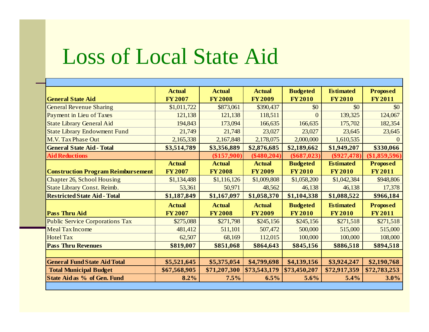# Loss of Local State Aid

|                                           | <b>Actual</b> | <b>Actual</b> | <b>Actual</b>              | <b>Budgeted</b> | <b>Estimated</b> | <b>Proposed</b> |
|-------------------------------------------|---------------|---------------|----------------------------|-----------------|------------------|-----------------|
| <b>General State Aid</b>                  | <b>FY2007</b> | <b>FY2008</b> | <b>FY2009</b>              | <b>FY2010</b>   | <b>FY2010</b>    | <b>FY2011</b>   |
| <b>General Revenue Sharing</b>            | \$1,011,722   | \$873,061     | \$390,437                  | \$0             | \$0              | \$0             |
| Payment in Lieu of Taxes                  | 121,138       | 121,138       | 118,511                    | $\Omega$        | 139,325          | 124,067         |
| <b>State Library General Aid</b>          | 194,843       | 173,094       | 166,635                    | 166,635         | 175,702          | 182,354         |
| <b>State Library Endowment Fund</b>       | 21,749        | 21,748        | 23,027                     | 23,027          | 23,645           | 23,645          |
| <b>M.V. Tax Phase Out</b>                 | 2,165,338     | 2,167,848     | 2,178,075                  | 2,000,000       | 1,610,535        |                 |
| <b>General State Aid - Total</b>          | \$3,514,789   | \$3,356,889   | \$2,876,685                | \$2,189,662     | \$1,949,207      | \$330,066       |
| <b>Aid Reductions</b>                     |               | $(\$157,900)$ | $(\$480,204)$              | $(\$687,023)$   | $(\$927,478)$    | $(\$1,859,596)$ |
|                                           | <b>Actual</b> | <b>Actual</b> | <b>Actual</b>              | <b>Budgeted</b> | <b>Estimated</b> | <b>Proposed</b> |
| <b>Construction Program Reimbursement</b> | <b>FY2007</b> | <b>FY2008</b> | <b>FY2009</b>              | <b>FY2010</b>   | <b>FY2010</b>    | <b>FY2011</b>   |
| Chapter 26, School Housing                | \$1,134,488   | \$1,116,126   | \$1,009,808                | \$1,058,200     | \$1,042,384      | \$948,806       |
| <b>State Library Const. Reimb.</b>        | 53,361        | 50,971        | 48,562                     | 46,138          | 46,138           | 17,378          |
| <b>Restricted State Aid - Total</b>       | \$1,187,849   | \$1,167,097   | \$1,058,370                | \$1,104,338     | \$1,088,522      | \$966,184       |
|                                           | <b>Actual</b> | <b>Actual</b> | <b>Actual</b>              | <b>Budgeted</b> | <b>Estimated</b> | <b>Proposed</b> |
| <b>Pass Thru Aid</b>                      | <b>FY2007</b> | <b>FY2008</b> | <b>FY2009</b>              | <b>FY2010</b>   | <b>FY2010</b>    | <b>FY2011</b>   |
| <b>Public Service Corporations Tax</b>    | \$275,088     | \$271,798     | \$245,156                  | \$245,156       | \$271,518        | \$271,518       |
| <b>Meal Tax Income</b>                    | 481,412       | 511,101       | 507,472                    | 500,000         | 515,000          | 515,000         |
| <b>Hotel Tax</b>                          | 62,507        | 68,169        | 112,015                    | 100,000         | 100,000          | 108,000         |
| <b>Pass Thru Revenues</b>                 | \$819,007     | \$851,068     | \$864,643                  | \$845,156       | \$886,518        | \$894,518       |
|                                           |               |               |                            |                 |                  |                 |
| <b>General Fund State Aid Total</b>       | \$5,521,645   | \$5,375,054   | \$4,799,698                | \$4,139,156     | \$3,924,247      | \$2,190,768     |
| <b>Total Municipal Budget</b>             | \$67,568,905  | \$71,207,300  | $\frac{1}{3}$ \$73,543,179 | \$73,450,207    | \$72,917,359     | \$72,783,253    |
| State Aid as % of Gen. Fund               | 8.2%          | 7.5%          | 6.5%                       | 5.6%            | 5.4%             | 3.0%            |
|                                           |               |               |                            |                 |                  |                 |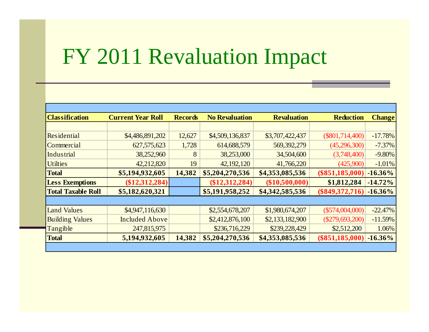# FY 2011 Revaluation Impact

| <b>Classification</b>     | <b>Current Year Roll</b> | <b>Records</b> | <b>No Revaluation</b> | <b>Revaluation</b> | <b>Reduction</b>  | <b>Change</b> |
|---------------------------|--------------------------|----------------|-----------------------|--------------------|-------------------|---------------|
|                           |                          |                |                       |                    |                   |               |
| Residential               | \$4,486,891,202          | 12,627         | \$4,509,136,837       | \$3,707,422,437    | (S801,714,400)    | $-17.78%$     |
| Commercial                | 627, 575, 623            | 1,728          | 614,688,579           | 569, 392, 279      | (45,296,300)      | $-7.37%$      |
| Industrial                | 38,252,960               | 8              | 38,253,000            | 34,504,600         | (3,748,400)       | $-9.80%$      |
| <b>Utilties</b>           | 42,212,820               | 19             | 42,192,120            | 41,766,220         | (425,900)         | $-1.01%$      |
| <b>Total</b>              | \$5,194,932,605          | 14,382         | \$5,204,270,536       | \$4,353,085,536    | $(\$851,185,000)$ | $-16.36\%$    |
| <b>Less Exemptions</b>    | $(\$12,312,284)$         |                | $(\$12,312,284)$      | (\$10,500,000)     | \$1,812,284       | $-14.72%$     |
| <b>Total Taxable Roll</b> | \$5,182,620,321          |                | \$5,191,958,252       | \$4,342,585,536    | (\$849,372,716)   | $-16.36\%$    |
|                           |                          |                |                       |                    |                   |               |
| <b>Land Values</b>        | \$4,947,116,630          |                | \$2,554,678,207       | \$1,980,674,207    | (S574,004,000)    | $-22.47%$     |
| <b>Building Values</b>    | <b>Included Above</b>    |                | \$2,412,876,100       | \$2,133,182,900    | $(\$279,693,200)$ | $-11.59%$     |
| Tangible                  | 247,815,975              |                | \$236,716,229         | \$239,228,429      | \$2,512,200       | 1.06%         |
| <b>Total</b>              | 5,194,932,605            | 14,382         | \$5,204,270,536       | \$4,353,085,536    | $(\$851,185,000)$ | $-16.36\%$    |
|                           |                          |                |                       |                    |                   |               |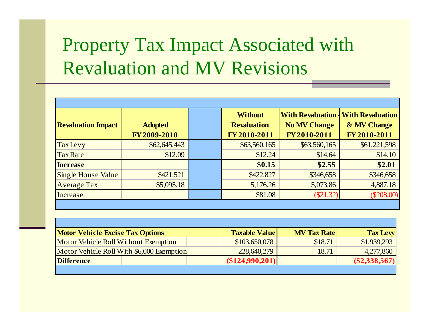### Property Tax Impact Associated with Revaluation and MV Revisions

| <b>Revaluation Impact</b> | <b>Adopted</b><br>FY 2009-2010 | <b>Without</b><br><b>Revaluation</b><br>FY2010-2011 | <b>No MV Change</b><br>FY 2010-2011 | <b>With Revaluation   With Revaluation</b><br>& MV Change<br>FY 2010-2011 |
|---------------------------|--------------------------------|-----------------------------------------------------|-------------------------------------|---------------------------------------------------------------------------|
| <b>Tax Levy</b>           | \$62,645,443                   | \$63,560,165                                        | \$63,560,165                        | \$61,221,598                                                              |
| <b>Tax Rate</b>           | \$12.09                        | \$12.24                                             | \$14.64                             | \$14.10                                                                   |
| <b>Increase</b>           |                                | \$0.15                                              | \$2.55                              | \$2.01                                                                    |
| <b>Single House Value</b> | \$421,521                      | \$422,827                                           | \$346,658                           | \$346,658                                                                 |
| <b>Average Tax</b>        | \$5,095.18                     | 5,176.26                                            | 5,073.86                            | 4,887.18                                                                  |
| Increase                  |                                | \$81.08                                             | $(\$21.32)$                         | $(\$208.00)$                                                              |
|                           |                                |                                                     |                                     |                                                                           |

| <b>Motor Vehicle Excise Tax Options</b>   | <b>Taxable Value</b> | <b>MV Tax Rate</b> | <b>Tax Levy</b> |
|-------------------------------------------|----------------------|--------------------|-----------------|
| Motor Vehicle Roll Without Exemption      | \$103,650,078        | \$18.71            | \$1,939,293     |
| Motor Vehicle Roll With \$6,000 Exemption | 228,640,279          | 18.71              | 4,277,860       |
| <i><b>Difference</b></i>                  | (S124,990,201)       |                    | $(\$2,338,567)$ |
|                                           |                      |                    |                 |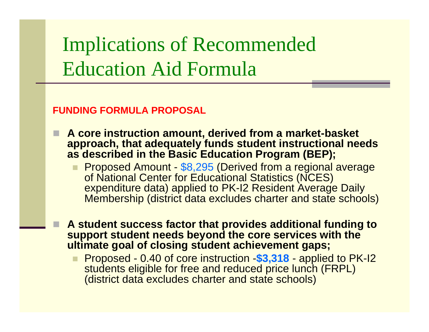### **FUNDING FORMULA PROPOSAL**

- **A core instruction amount, derived from a market-basket approach, that adequately funds student instructional needs as described in the Basic Education Program (BEP);**
	- Proposed Amount \$8,295 (Derived from a regional average of National Center for Educational Statistics (NCES) expenditure data) applied to PK-I2 Resident Average Daily Membership (district data excludes charter and state schools)
	- **A student success factor that provides additional funding to support student needs beyond the core services with the ultimate goal of closing student achievement gaps;**
		- Proposed 0.40 of core instruction -**\$3,318**  applied to PK-I2 students eligible for free and reduced price lunch (FRPL) (district data excludes charter and state schools)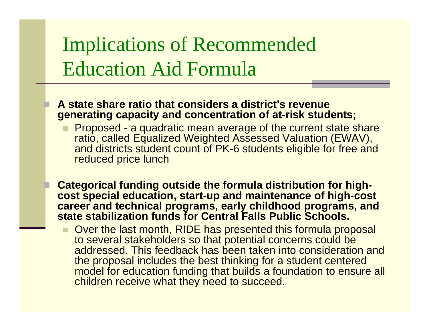n

### **A state share ratio that considers a district's revenue generating capacity and concentration of at-risk students;**

- Proposed a quadratic mean average of the current state share ratio, called Equalized Weighted Assessed Valuation (EWAV), and districts student count of PK-6 students eligible for free and reduced price lunch
- **Categorical funding outside the formula distribution for highcost special education, start-up and maintenance of high-cost career and technical programs, early childhood programs, and state stabilization funds for Central Falls Public Schools.**
	- Over the last month, RIDE has presented this formula proposal to several stakeholders so that potential concerns could be addressed. This feedback has been taken into consideration and the proposal includes the best thinking for a student centered model for education funding that builds a foundation to ensure all children receive what they need to succeed.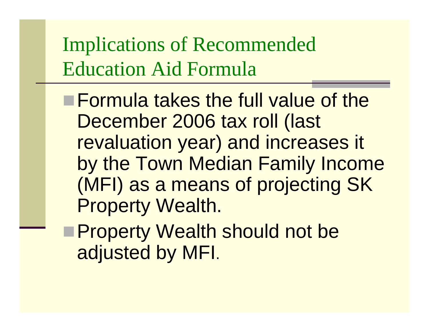**Formula takes the full value of the** December 2006 tax roll (last revaluation year) and increases it by the Town Median Family Income (MFI) as a means of projecting SK Property Wealth.

**Property Wealth should not be** adjusted by MFI.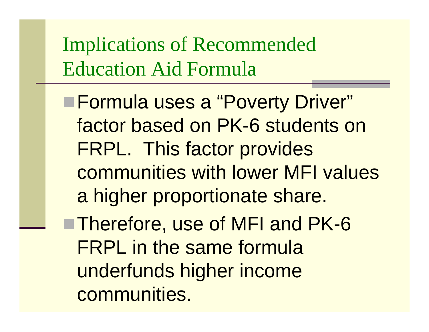- **Formula uses a "Poverty Driver"** factor based on PK-6 students on FRPL. This factor provides communities with lower MFI values a higher proportionate share. ■ Therefore, use of MFI and PK-6
	- FRPL in the same formula underfunds higher income communities.